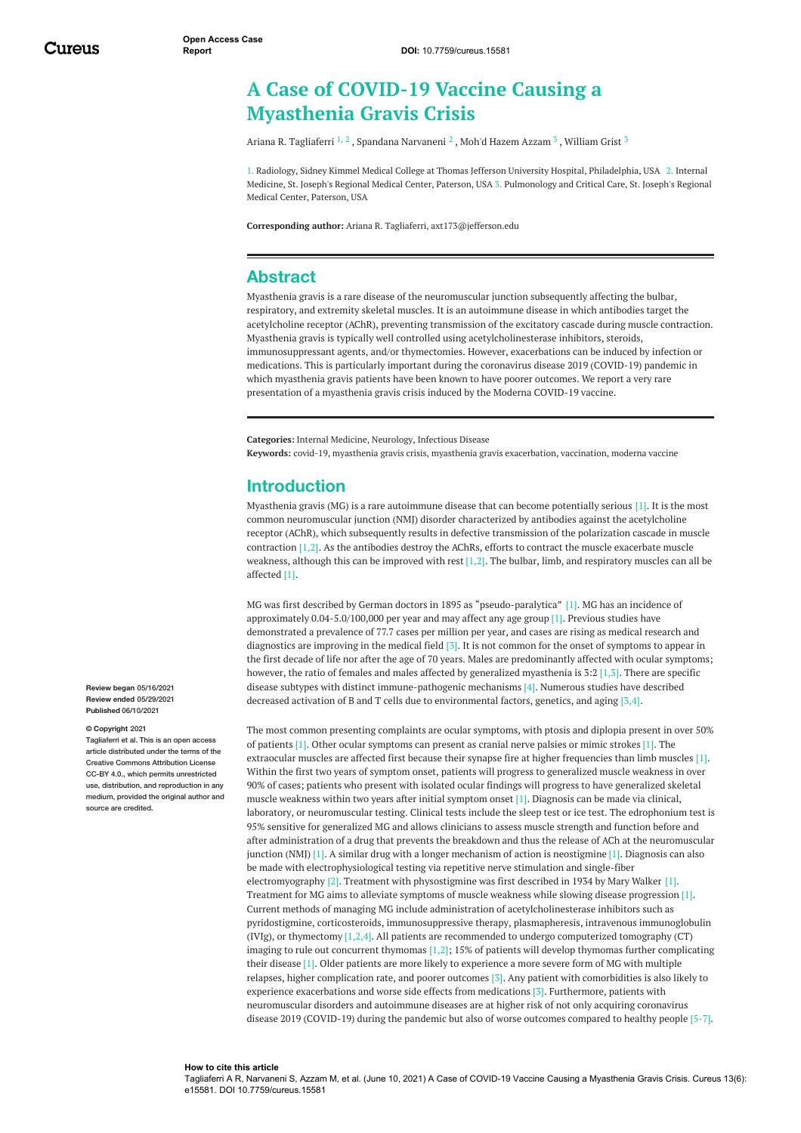# **A Case of COVID-19 Vaccine Causing a Myasthenia Gravis Crisis**

Ariana R. [Tagliaferri](https://www.cureus.com/users/177026-ariana-r-tagliaferri)  $^{1,\,2}$  , Spandana [Narvaneni](https://www.cureus.com/users/246655-spandana-narvaneni)  $^2$  , Moh'd [Hazem](https://www.cureus.com/users/246656-moh-d-hazem-azzam) Azzam  $^3$  , [William](https://www.cureus.com/users/246657-william-grist) Grist  $^3$ 

1. Radiology, Sidney Kimmel Medical College at Thomas Jefferson University Hospital, Philadelphia, USA 2. Internal Medicine, St. Joseph's Regional Medical Center, Paterson, USA 3. Pulmonology and Critical Care, St. Joseph's Regional Medical Center, Paterson, USA

**Corresponding author:** Ariana R. Tagliaferri, axt173@jefferson.edu

### **Abstract**

Myasthenia gravis is a rare disease of the neuromuscular junction subsequently affecting the bulbar, respiratory, and extremity skeletal muscles. It is an autoimmune disease in which antibodies target the acetylcholine receptor (AChR), preventing transmission of the excitatory cascade during muscle contraction. Myasthenia gravis is typically well controlled using acetylcholinesterase inhibitors, steroids, immunosuppressant agents, and/or thymectomies. However, exacerbations can be induced by infection or medications. This is particularly important during the coronavirus disease 2019 (COVID-19) pandemic in which myasthenia gravis patients have been known to have poorer outcomes. We report a very rare presentation of a myasthenia gravis crisis induced by the Moderna COVID-19 vaccine.

**Categories:** Internal Medicine, Neurology, Infectious Disease

**Keywords:** covid-19, myasthenia gravis crisis, myasthenia gravis exacerbation, vaccination, moderna vaccine

#### **Introduction**

Myasthenia gravis (MG) is a rare autoimmune disease that can become potentially serious [1]. It is the most common neuromuscular junction (NMJ) disorder characterized by antibodies against the acetylcholine receptor (AChR), which subsequently results in defective transmission of the polarization cascade in muscle contraction [1,2]. As the antibodies destroy the AChRs, efforts to contract the muscle exacerbate muscle weakness, although this can be improved with rest [1,2]. The bulbar, limb, and respiratory muscles can all be affected [1].

MG was first described by German doctors in 1895 as "pseudo-paralytica" [1]. MG has an incidence of approximately 0.04-5.0/100,000 per year and may affect any age group [1]. Previous studies have demonstrated a prevalence of 77.7 cases per million per year, and cases are rising as medical research and diagnostics are improving in the medical field [3]. It is not common for the onset of symptoms to appear in the first decade of life nor after the age of 70 years. Males are predominantly affected with ocular symptoms; however, the ratio of females and males affected by generalized myasthenia is 3:2 [1,3]. There are specific disease subtypes with distinct immune-pathogenic mechanisms [4]. Numerous studies have described decreased activation of B and T cells due to environmental factors, genetics, and aging [3,4].

**Review ended** 05/29/2021 **Published** 06/10/2021 **© Copyright** 2021 Tagliaferri et al. This is an open access article distributed under the terms of the Creative Commons Attribution License CC-BY 4.0., which permits unrestricted use, distribution, and reproduction in any medium, provided the original author and source are credited

**Review began** 05/16/2021

The most common presenting complaints are ocular symptoms, with ptosis and diplopia present in over 50% of patients [1]. Other ocular symptoms can present as cranial nerve palsies or mimic strokes [1]. The extraocular muscles are affected first because their synapse fire at higher frequencies than limb muscles [1]. Within the first two years of symptom onset, patients will progress to generalized muscle weakness in over 90% of cases; patients who present with isolated ocular findings will progress to have generalized skeletal muscle weakness within two years after initial symptom onset [1]. Diagnosis can be made via clinical, laboratory, or neuromuscular testing. Clinical tests include the sleep test or ice test. The edrophonium test is 95% sensitive for generalized MG and allows clinicians to assess muscle strength and function before and after administration of a drug that prevents the breakdown and thus the release of ACh at the neuromuscular junction (NMJ) [1]. A similar drug with a longer mechanism of action is neostigmine [1]. Diagnosis can also be made with electrophysiological testing via repetitive nerve stimulation and single-fiber electromyography [2]. Treatment with physostigmine was first described in 1934 by Mary Walker [1]. Treatment for MG aims to alleviate symptoms of muscle weakness while slowing disease progression [1]. Current methods of managing MG include administration of acetylcholinesterase inhibitors such as pyridostigmine, corticosteroids, immunosuppressive therapy, plasmapheresis, intravenous immunoglobulin (IVIg), or thymectomy  $[1,2,4]$ . All patients are recommended to undergo computerized tomography (CT) imaging to rule out concurrent thymomas  $[1,2]$ ; 15% of patients will develop thymomas further complicating their disease [1]. Older patients are more likely to experience a more severe form of MG with multiple relapses, higher complication rate, and poorer outcomes [3]. Any patient with comorbidities is also likely to experience exacerbations and worse side effects from medications [3]. Furthermore, patients with neuromuscular disorders and autoimmune diseases are at higher risk of not only acquiring coronavirus disease 2019 (COVID-19) during the pandemic but also of worse outcomes compared to healthy people [5-7].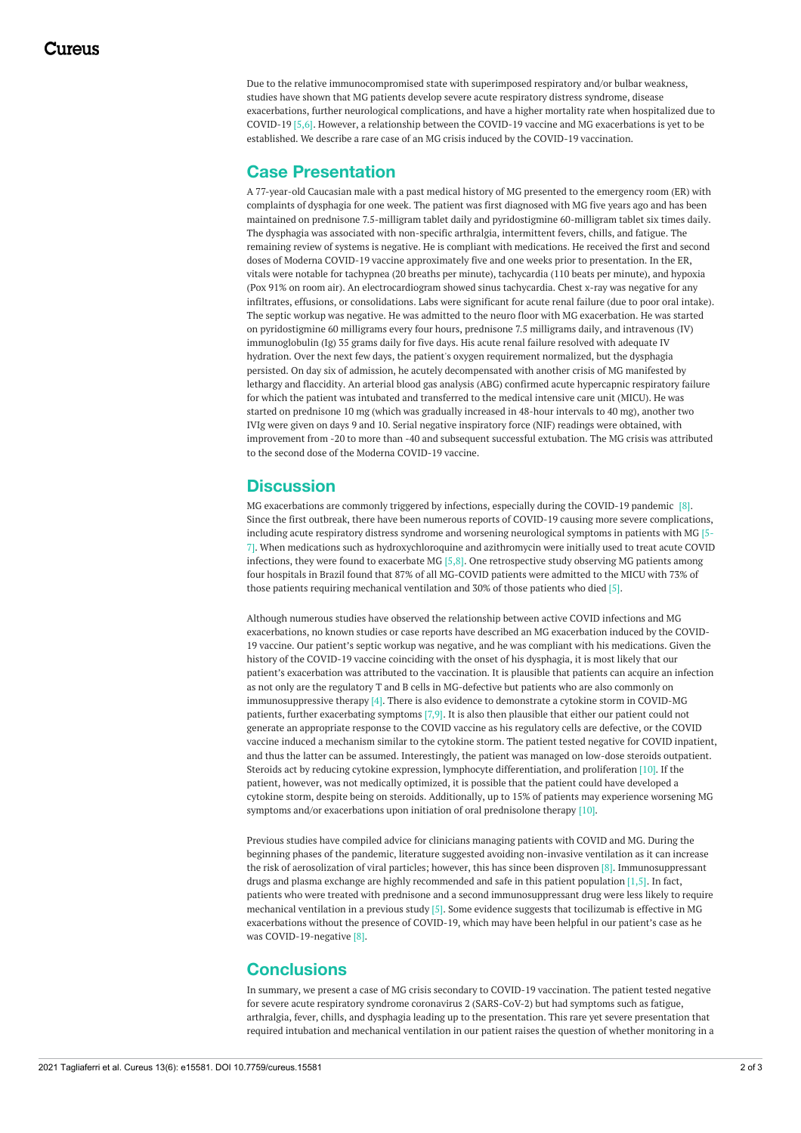Due to the relative immunocompromised state with superimposed respiratory and/or bulbar weakness, studies have shown that MG patients develop severe acute respiratory distress syndrome, disease exacerbations, further neurological complications, and have a higher mortality rate when hospitalized due to COVID-19 [5,6]. However, a relationship between the COVID-19 vaccine and MG exacerbations is yet to be established. We describe a rare case of an MG crisis induced by the COVID-19 vaccination.

## **Case Presentation**

A 77-year-old Caucasian male with a past medical history of MG presented to the emergency room (ER) with complaints of dysphagia for one week. The patient was first diagnosed with MG five years ago and has been maintained on prednisone 7.5-milligram tablet daily and pyridostigmine 60-milligram tablet six times daily. The dysphagia was associated with non-specific arthralgia, intermittent fevers, chills, and fatigue. The remaining review of systems is negative. He is compliant with medications. He received the first and second doses of Moderna COVID-19 vaccine approximately five and one weeks prior to presentation. In the ER, vitals were notable for tachypnea (20 breaths per minute), tachycardia (110 beats per minute), and hypoxia (Pox 91% on room air). An electrocardiogram showed sinus tachycardia. Chest x-ray was negative for any infiltrates, effusions, or consolidations. Labs were significant for acute renal failure (due to poor oral intake). The septic workup was negative. He was admitted to the neuro floor with MG exacerbation. He was started on pyridostigmine 60 milligrams every four hours, prednisone 7.5 milligrams daily, and intravenous (IV) immunoglobulin (Ig) 35 grams daily for five days. His acute renal failure resolved with adequate IV hydration. Over the next few days, the patient's oxygen requirement normalized, but the dysphagia persisted. On day six of admission, he acutely decompensated with another crisis of MG manifested by lethargy and flaccidity. An arterial blood gas analysis (ABG) confirmed acute hypercapnic respiratory failure for which the patient was intubated and transferred to the medical intensive care unit (MICU). He was started on prednisone 10 mg (which was gradually increased in 48-hour intervals to 40 mg), another two IVIg were given on days 9 and 10. Serial negative inspiratory force (NIF) readings were obtained, with improvement from -20 to more than -40 and subsequent successful extubation. The MG crisis was attributed to the second dose of the Moderna COVID-19 vaccine.

## **Discussion**

MG exacerbations are commonly triggered by infections, especially during the COVID-19 pandemic [8]. Since the first outbreak, there have been numerous reports of COVID-19 causing more severe complications, including acute respiratory distress syndrome and worsening neurological symptoms in patients with MG [5- 7]. When medications such as hydroxychloroquine and azithromycin were initially used to treat acute COVID infections, they were found to exacerbate MG  $[5,8]$ . One retrospective study observing MG patients among four hospitals in Brazil found that 87% of all MG-COVID patients were admitted to the MICU with 73% of those patients requiring mechanical ventilation and 30% of those patients who died [5].

Although numerous studies have observed the relationship between active COVID infections and MG exacerbations, no known studies or case reports have described an MG exacerbation induced by the COVID-19 vaccine. Our patient's septic workup was negative, and he was compliant with his medications. Given the history of the COVID-19 vaccine coinciding with the onset of his dysphagia, it is most likely that our patient's exacerbation was attributed to the vaccination. It is plausible that patients can acquire an infection as not only are the regulatory T and B cells in MG-defective but patients who are also commonly on immunosuppressive therapy [4]. There is also evidence to demonstrate a cytokine storm in COVID-MG patients, further exacerbating symptoms [7,9]. It is also then plausible that either our patient could not generate an appropriate response to the COVID vaccine as his regulatory cells are defective, or the COVID vaccine induced a mechanism similar to the cytokine storm. The patient tested negative for COVID inpatient, and thus the latter can be assumed. Interestingly, the patient was managed on low-dose steroids outpatient. Steroids act by reducing cytokine expression, lymphocyte differentiation, and proliferation [10]. If the patient, however, was not medically optimized, it is possible that the patient could have developed a cytokine storm, despite being on steroids. Additionally, up to 15% of patients may experience worsening MG symptoms and/or exacerbations upon initiation of oral prednisolone therapy [10].

Previous studies have compiled advice for clinicians managing patients with COVID and MG. During the beginning phases of the pandemic, literature suggested avoiding non-invasive ventilation as it can increase the risk of aerosolization of viral particles; however, this has since been disproven [8]. Immunosuppressant drugs and plasma exchange are highly recommended and safe in this patient population [1,5]. In fact, patients who were treated with prednisone and a second immunosuppressant drug were less likely to require mechanical ventilation in a previous study [5]. Some evidence suggests that tocilizumab is effective in MG exacerbations without the presence of COVID-19, which may have been helpful in our patient's case as he was COVID-19-negative [8].

### **Conclusions**

In summary, we present a case of MG crisis secondary to COVID-19 vaccination. The patient tested negative for severe acute respiratory syndrome coronavirus 2 (SARS-CoV-2) but had symptoms such as fatigue, arthralgia, fever, chills, and dysphagia leading up to the presentation. This rare yet severe presentation that required intubation and mechanical ventilation in our patient raises the question of whether monitoring in a